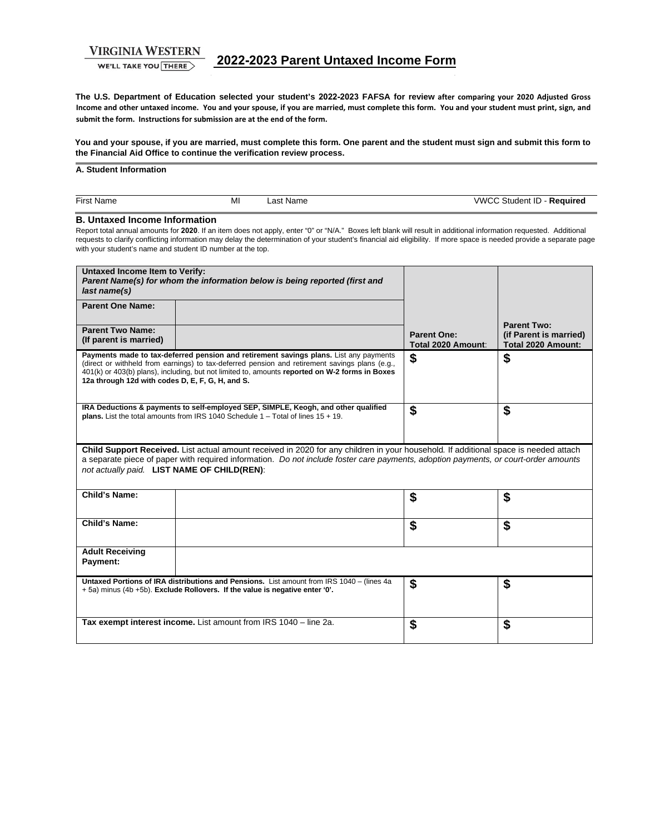**VIRGINIA WESTERN** 

WE'LL TAKE YOU THERE

**The U.S. Department of Education selected your student's 2022-2023 FAFSA for review after comparing your 2020 Adjusted Gross Income and other untaxed income. You and your spouse, if you are married, must complete this form. You and your student must print, sign, and submit the form. Instructions for submission are at the end of the form.** 

**You and your spouse, if you are married, must complete this form. One parent and the student must sign and submit this form to the Financial Aid Office to continue the verification review process.** 

#### **A. Student Information**

| $- \cdot$<br>MI<br>\/\\/\r<br>First<br>Nam∈<br>∵Name<br>.ast | sauire<br>Student<br>л.<br>$\sim$ |
|--------------------------------------------------------------|-----------------------------------|

### **B. Untaxed Income Information**

Report total annual amounts for **2020**. If an item does not apply, enter "0" or "N/A." Boxes left blank will result in additional information requested. Additional requests to clarify conflicting information may delay the determination of your student's financial aid eligibility. If more space is needed provide a separate page with your student's name and student ID number at the top.

| <b>Untaxed Income Item to Verify:</b><br>last name(s)                                                                                                                                                                                                                                                                      | Parent Name(s) for whom the information below is being reported (first and                                                                                                                                                                                                                |                                          |                                                                    |  |
|----------------------------------------------------------------------------------------------------------------------------------------------------------------------------------------------------------------------------------------------------------------------------------------------------------------------------|-------------------------------------------------------------------------------------------------------------------------------------------------------------------------------------------------------------------------------------------------------------------------------------------|------------------------------------------|--------------------------------------------------------------------|--|
| <b>Parent One Name:</b>                                                                                                                                                                                                                                                                                                    |                                                                                                                                                                                                                                                                                           |                                          |                                                                    |  |
| <b>Parent Two Name:</b><br>(If parent is married)                                                                                                                                                                                                                                                                          |                                                                                                                                                                                                                                                                                           | <b>Parent One:</b><br>Total 2020 Amount: | <b>Parent Two:</b><br>(if Parent is married)<br>Total 2020 Amount: |  |
| 12a through 12d with codes D, E, F, G, H, and S.                                                                                                                                                                                                                                                                           | Payments made to tax-deferred pension and retirement savings plans. List any payments<br>(direct or withheld from earnings) to tax-deferred pension and retirement savings plans (e.g.,<br>401(k) or 403(b) plans), including, but not limited to, amounts reported on W-2 forms in Boxes | \$                                       | \$                                                                 |  |
|                                                                                                                                                                                                                                                                                                                            | IRA Deductions & payments to self-employed SEP, SIMPLE, Keogh, and other qualified<br>plans. List the total amounts from IRS 1040 Schedule $1 -$ Total of lines $15 + 19$ .                                                                                                               | \$                                       | \$                                                                 |  |
| Child Support Received. List actual amount received in 2020 for any children in your household. If additional space is needed attach<br>a separate piece of paper with required information. Do not include foster care payments, adoption payments, or court-order amounts<br>not actually paid. LIST NAME OF CHILD(REN): |                                                                                                                                                                                                                                                                                           |                                          |                                                                    |  |
| Child's Name:                                                                                                                                                                                                                                                                                                              |                                                                                                                                                                                                                                                                                           | \$                                       | \$                                                                 |  |
| Child's Name:                                                                                                                                                                                                                                                                                                              |                                                                                                                                                                                                                                                                                           | \$                                       | \$                                                                 |  |
| <b>Adult Receiving</b><br>Payment:                                                                                                                                                                                                                                                                                         |                                                                                                                                                                                                                                                                                           |                                          |                                                                    |  |
|                                                                                                                                                                                                                                                                                                                            | Untaxed Portions of IRA distributions and Pensions. List amount from IRS 1040 - (lines 4a<br>+ 5a) minus (4b +5b). Exclude Rollovers. If the value is negative enter '0'.                                                                                                                 | \$                                       | \$                                                                 |  |
|                                                                                                                                                                                                                                                                                                                            | Tax exempt interest income. List amount from IRS 1040 - line 2a.                                                                                                                                                                                                                          | \$                                       | \$                                                                 |  |